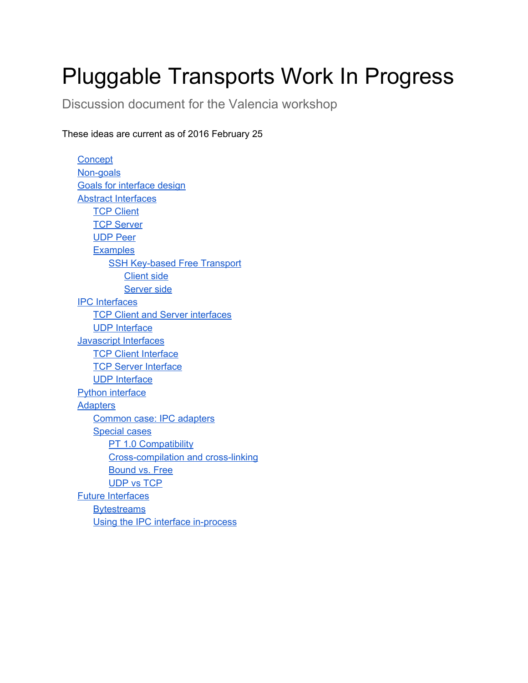# Pluggable Transports Work In Progress

Discussion document for the Valencia workshop

#### These ideas are current as of 2016 February 25

**[Concept](#page-1-0)** Non-goals Goals for [interface](#page-1-2) design Abstract [Interfaces](#page-2-0) TCP [Client](#page-2-1) TCP [Server](#page-3-0) UDP [Peer](#page-3-1) **[Examples](#page-3-2)** SSH Key-based Free Transport [Client](#page-3-4) side [Server](#page-4-0) side IPC [Interfaces](#page-4-1) TCP Client and Server [interfaces](#page-4-2) UDP [Interface](#page-5-0) [Javascript](#page-5-1) Interfaces TCP Client [Interface](#page-5-2) TCP Server [Interface](#page-6-0) UDP [Interface](#page-6-1) **Python [interface](#page-7-0) [Adapters](#page-9-0)** [Common](#page-9-1) case: IPC adapters [Special](#page-9-2) cases PT 1.0 [Compatibility](#page-9-3) Cross-compilation and cross-linking [Bound](#page-9-5) vs. Free [UDP](#page-10-0) vs TCP Future [Interfaces](#page-10-1) **[Bytestreams](#page-10-2)** Using the IPC interface in-process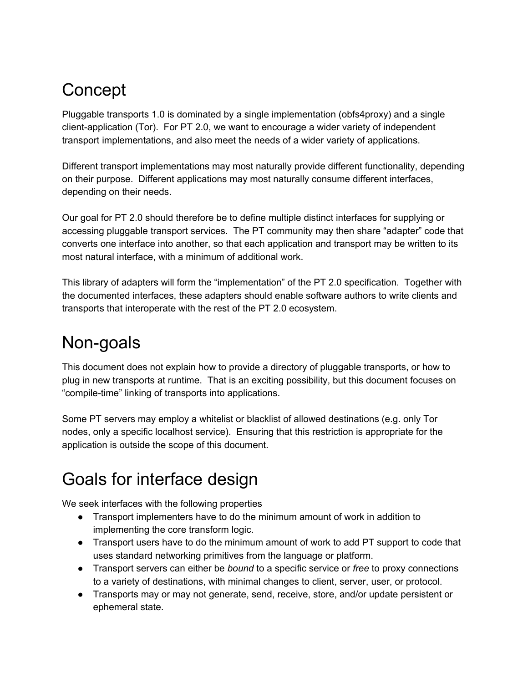## <span id="page-1-0"></span>**Concept**

Pluggable transports 1.0 is dominated by a single implementation (obfs4proxy) and a single client-application (Tor). For PT 2.0, we want to encourage a wider variety of independent transport implementations, and also meet the needs of a wider variety of applications.

Different transport implementations may most naturally provide different functionality, depending on their purpose. Different applications may most naturally consume different interfaces, depending on their needs.

Our goal for PT 2.0 should therefore be to define multiple distinct interfaces for supplying or accessing pluggable transport services. The PT community may then share "adapter" code that converts one interface into another, so that each application and transport may be written to its most natural interface, with a minimum of additional work.

This library of adapters will form the "implementation" of the PT 2.0 specification. Together with the documented interfaces, these adapters should enable software authors to write clients and transports that interoperate with the rest of the PT 2.0 ecosystem.

## <span id="page-1-1"></span>Non-goals

This document does not explain how to provide a directory of pluggable transports, or how to plug in new transports at runtime. That is an exciting possibility, but this document focuses on "compile-time" linking of transports into applications.

Some PT servers may employ a whitelist or blacklist of allowed destinations (e.g. only Tor nodes, only a specific localhost service). Ensuring that this restriction is appropriate for the application is outside the scope of this document.

## <span id="page-1-2"></span>Goals for interface design

We seek interfaces with the following properties

- Transport implementers have to do the minimum amount of work in addition to implementing the core transform logic.
- Transport users have to do the minimum amount of work to add PT support to code that uses standard networking primitives from the language or platform.
- Transport servers can either be *bound* to a specific service or *free* to proxy connections to a variety of destinations, with minimal changes to client, server, user, or protocol.
- Transports may or may not generate, send, receive, store, and/or update persistent or ephemeral state.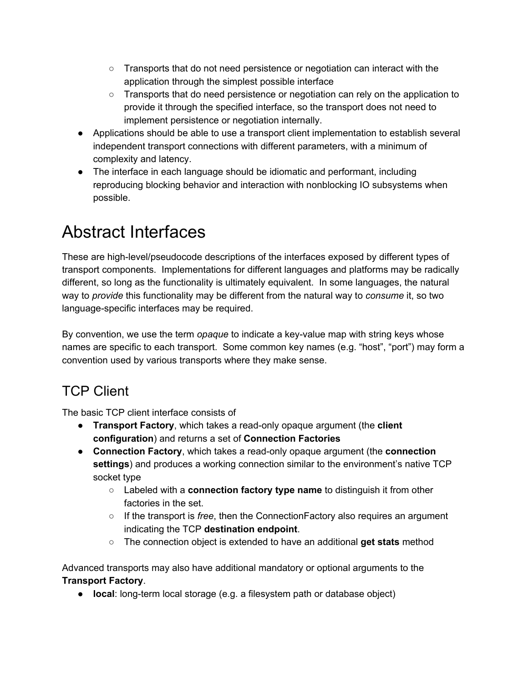- Transports that do not need persistence or negotiation can interact with the application through the simplest possible interface
- Transports that do need persistence or negotiation can rely on the application to provide it through the specified interface, so the transport does not need to implement persistence or negotiation internally.
- Applications should be able to use a transport client implementation to establish several independent transport connections with different parameters, with a minimum of complexity and latency.
- The interface in each language should be idiomatic and performant, including reproducing blocking behavior and interaction with nonblocking IO subsystems when possible.

## <span id="page-2-0"></span>Abstract Interfaces

These are high-level/pseudocode descriptions of the interfaces exposed by different types of transport components. Implementations for different languages and platforms may be radically different, so long as the functionality is ultimately equivalent. In some languages, the natural way to *provide* this functionality may be different from the natural way to *consume* it, so two language-specific interfaces may be required.

By convention, we use the term *opaque* to indicate a key-value map with string keys whose names are specific to each transport. Some common key names (e.g. "host", "port") may form a convention used by various transports where they make sense.

## <span id="page-2-1"></span>TCP Client

The basic TCP client interface consists of

- **Transport Factory**, which takes a read-only opaque argument (the **client configuration**) and returns a set of **Connection Factories**
- **Connection Factory**, which takes a read-only opaque argument (the **connection settings**) and produces a working connection similar to the environment's native TCP socket type
	- Labeled with a **connection factory type name**to distinguish it from other factories in the set.
	- If the transport is *free*, then the ConnectionFactory also requires an argument indicating the TCP **destination endpoint**.
	- The connection object is extended to have an additional **get stats**method

Advanced transports may also have additional mandatory or optional arguments to the **Transport Factory**.

• **local**: long-term local storage (e.g. a filesystem path or database object)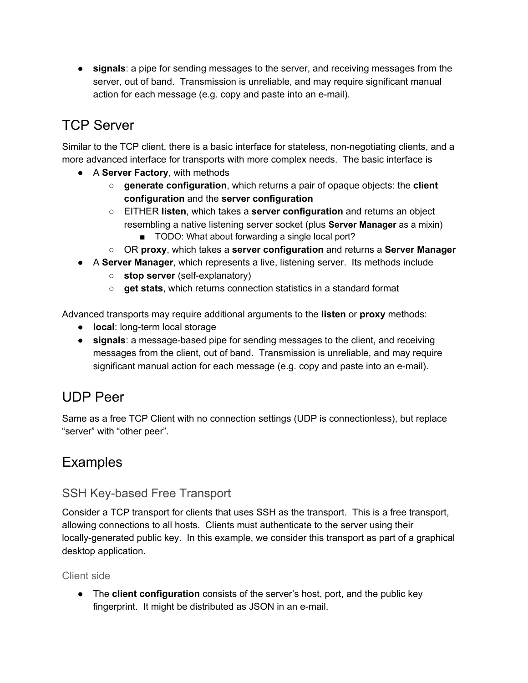● **signals**: a pipe for sending messages to the server, and receiving messages from the server, out of band. Transmission is unreliable, and may require significant manual action for each message (e.g. copy and paste into an e-mail).

## <span id="page-3-0"></span>TCP Server

Similar to the TCP client, there is a basic interface for stateless, non-negotiating clients, and a more advanced interface for transports with more complex needs. The basic interface is

- A **Server Factory**, with methods
	- **generate configuration**,which returns a pair of opaque objects: the **client configuration**and the **server configuration**
	- EITHER **listen**, which takes a **server configuration**and returns an object resembling a native listening server socket (plus **Server Manager**as a mixin)
		- TODO: What about forwarding a single local port?
	- OR **proxy**, which takes a **server configuration**and returns a **Server Manager**
- A **Server Manager**, which represents a live, listening server. Its methods include
	- **o stop server** (self-explanatory)
	- **get stats**, which returns connection statistics in a standard format

Advanced transports may require additional arguments to the **listen**or **proxy**methods:

- **local**: long-term local storage
- signals: a message-based pipe for sending messages to the client, and receiving messages from the client, out of band. Transmission is unreliable, and may require significant manual action for each message (e.g. copy and paste into an e-mail).

### <span id="page-3-1"></span>UDP Peer

Same as a free TCP Client with no connection settings (UDP is connectionless), but replace "server" with "other peer".

### <span id="page-3-2"></span>Examples

#### <span id="page-3-3"></span>SSH Key-based Free Transport

Consider a TCP transport for clients that uses SSH as the transport. This is a free transport, allowing connections to all hosts. Clients must authenticate to the server using their locally-generated public key. In this example, we consider this transport as part of a graphical desktop application.

#### <span id="page-3-4"></span>Client side

**•** The **client configuration** consists of the server's host, port, and the public key fingerprint. It might be distributed as JSON in an e-mail.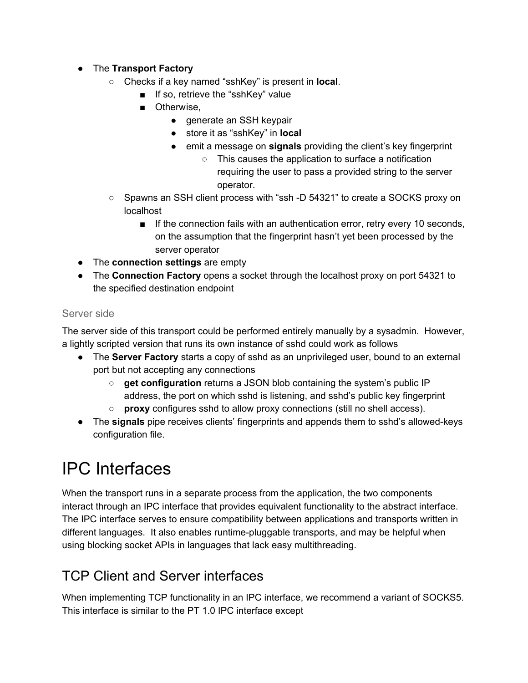#### ● The **Transport Factory**

- Checks if a key named "sshKey" is present in **local**.
	- If so, retrieve the "sshKey" value
	- Otherwise,
		- generate an SSH keypair
		- store it as "sshKey" in **local**
		- **•** emit a message on **signals** providing the client's key fingerprint
			- This causes the application to surface a notification requiring the user to pass a provided string to the server operator.
- Spawns an SSH client process with "ssh -D 54321" to create a SOCKS proxy on localhost
	- If the connection fails with an authentication error, retry every 10 seconds, on the assumption that the fingerprint hasn't yet been processed by the server operator
- The **connection settings**are empty
- The **Connection Factory**opens a socket through the localhost proxy on port 54321 to the specified destination endpoint

#### <span id="page-4-0"></span>Server side

The server side of this transport could be performed entirely manually by a sysadmin. However, a lightly scripted version that runs its own instance of sshd could work as follows

- The **Server Factory**starts a copy of sshd as an unprivileged user, bound to an external port but not accepting any connections
	- **get configuration**returns a JSON blob containing the system's public IP address, the port on which sshd is listening, and sshd's public key fingerprint
	- **proxy**configures sshd to allow proxy connections (still no shell access).
- The **signals** pipe receives clients' fingerprints and appends them to sshd's allowed-keys configuration file.

## <span id="page-4-1"></span>IPC Interfaces

When the transport runs in a separate process from the application, the two components interact through an IPC interface that provides equivalent functionality to the abstract interface. The IPC interface serves to ensure compatibility between applications and transports written in different languages. It also enables runtime-pluggable transports, and may be helpful when using blocking socket APIs in languages that lack easy multithreading.

### <span id="page-4-2"></span>TCP Client and Server interfaces

When implementing TCP functionality in an IPC interface, we recommend a variant of SOCKS5. This interface is similar to the PT 1.0 IPC interface except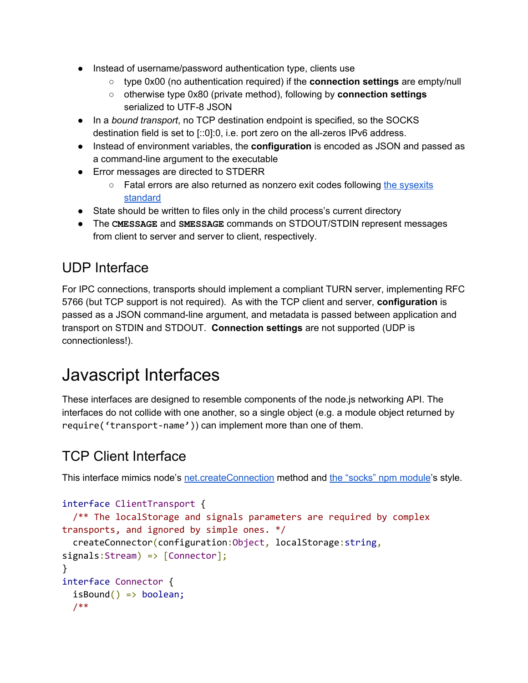- Instead of username/password authentication type, clients use
	- type 0x00 (no authentication required) if the **connection settings**are empty/null
	- otherwise type 0x80 (private method), following by **connection settings** serialized to UTF-8 JSON
- In a *bound transport*, no TCP destination endpoint is specified, so the SOCKS destination field is set to [::0]:0, i.e. port zero on the all-zeros IPv6 address.
- Instead of environment variables, the **configuration**is encoded as JSON and passed as a command-line argument to the executable
- Error messages are directed to STDERR
	- Fatal errors are also returned as nonzero exit codes following the [sysexits](https://www.freebsd.org/cgi/man.cgi?query=sysexits&sektion=3) [standard](https://www.freebsd.org/cgi/man.cgi?query=sysexits&sektion=3)
- State should be written to files only in the child process's current directory
- The **CMESSAGE**and **SMESSAGE**commands on STDOUT/STDIN represent messages from client to server and server to client, respectively.

## <span id="page-5-0"></span>UDP Interface

For IPC connections, transports should implement a compliant TURN server, implementing RFC 5766 (but TCP support is not required). As with the TCP client and server, **configuration**is passed as a JSON command-line argument, and metadata is passed between application and transport on STDIN and STDOUT. **Connection settings**are not supported (UDP is connectionless!).

## <span id="page-5-1"></span>Javascript Interfaces

These interfaces are designed to resemble components of the node.js networking API. The interfaces do not collide with one another, so a single object (e.g. a module object returned by require('transport-name')) can implement more than one of them.

## <span id="page-5-2"></span>TCP Client Interface

This interface mimics node's [net.createConnection](https://nodejs.org/dist/latest-v5.x/docs/api/net.html#net_net_connect_port_host_connectlistener) method and the "socks" npm [module'](https://www.npmjs.com/package/socks)s style.

```
interface ClientTransport {
  /** The localStorage and signals parameters are required by complex
transports, and ignored by simple ones. */createConnector(configuration:Object, localStorage:string,
signals:Stream) => [Connector];
}
interface Connector {
  isBound() \Rightarrow boolean;/**
```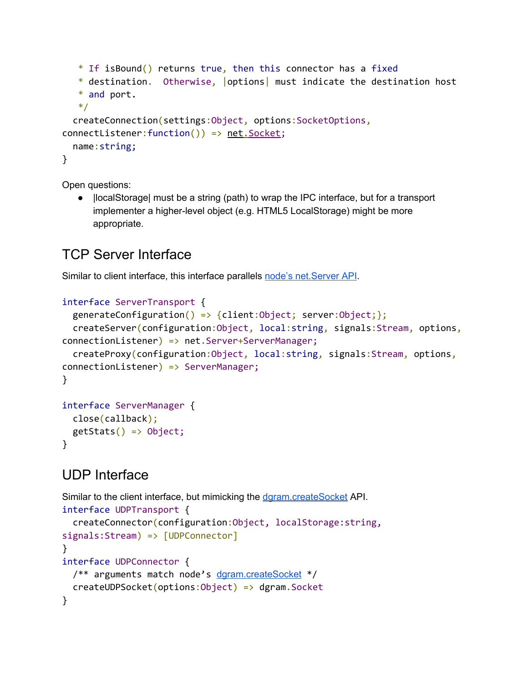```
* If isBound() returns true, then this connector has a fixed
  * destination. Otherwise, options| must indicate the destination host
  * and port.
  */
 createConnection(settings:Object, options:SocketOptions,
net.Socket;
 name:string;
}
```
Open questions:

● |localStorage| must be a string (path) to wrap the IPC interface, but for a transport implementer a higher-level object (e.g. HTML5 LocalStorage) might be more appropriate.

### <span id="page-6-0"></span>TCP Server Interface

Similar to client interface, this interface parallels node's [net.Server](https://nodejs.org/api/net.html#net_class_net_server) API.

```
interface ServerTransport {
  generateConfiguration() => {client:Object; server:Object;};
  createServer(configuration:Object, local:string, signals:Stream, options,
connectionListener) => net.Server+ServerManager;
  createProxy(configuration:Object, local:string, signals:Stream, options,
connectionListener) => ServerManager;
}
interface ServerManager {
  close(callback);
  getsstats() \Rightarrow Object;
```
<span id="page-6-1"></span>}

## UDP Interface

```
dgram.createSocket API.
interface UDPTransport {
 createConnector(configuration:Object, localStorage:string,
signals:Stream) => [UDPConnector]
}
interface UDPConnector {
 dgram.createSocket */
 createUDPSocket(options:Object)=>dgram.Socket
}
```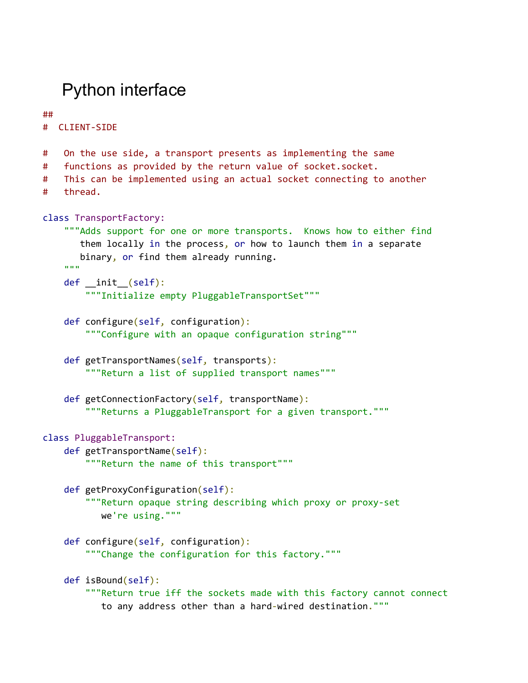## <span id="page-7-0"></span>Python interface

## # CLIENT‐SIDE # On the use side, a transport presents as implementing the same # functions as provided by the return value of socket.socket. # This can be implemented using an actual socket connecting to another # thread. class TransportFactory: """Adds support for one or more transports. Knows how to either find them locally in the process, or how to launch them in a separate binary, or find them already running. """ def\_\_init\_\_(self): """Initialize empty PluggableTransportSet""" def configure(self, configuration): """Configure with an opaque configuration string""" def getTransportNames(self, transports): """Return a list of supplied transport names""" def getConnectionFactory(self, transportName): """Returns a PluggableTransport for a given transport.""" class PluggableTransport: def getTransportName(self): """Return the name of this transport""" def getProxyConfiguration(self): """Return opaque string describing which proxy or proxy-set we're using.""" def configure(self, configuration): """Change the configuration for this factory.""" def isBound(self): """Return true iff the sockets made with this factory cannot connect to any address other than a hard-wired destination."""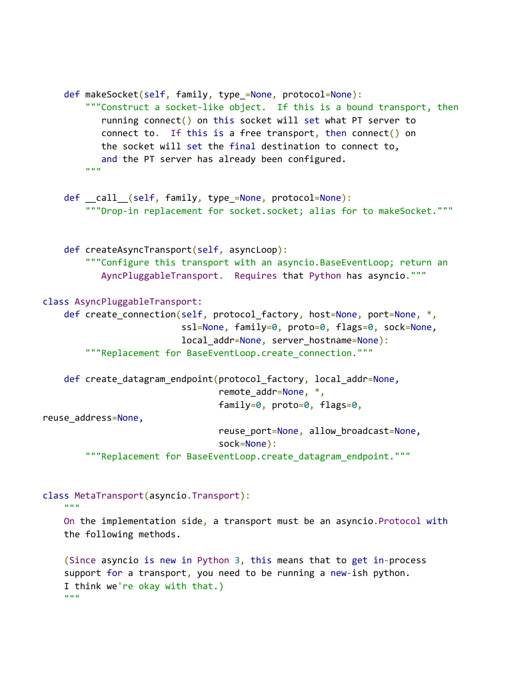```
def makeSocket(self, family, type_=None, protocol=None):
        """Construct a socket-like object. If this is a bound transport, then
           running connect() on this socket will set what PT server to
           connect to. If this is a free transport, then connect() on
           the socket will set the final destination to connect to,
           and the PT server has already been configured.
        "" "" ""
    def __call__(self, family, type_=None, protocol=None):
        """Drop-in replacement for socket.socket; alias for to makeSocket."""
    def createAsyncTransport(self, asyncLoop):
        """Configure this transport with an asyncio.BaseEventLoop; return an
           AyncPluggableTransport. Requires that Python has asyncio."""
class AsyncPluggableTransport:
    def create_connection(self, protocol_factory, host=None, port=None, *,
                          ssl=None, family=0, proto=0, flags=0, sock=None,
                          local_addr=None, server_hostname=None):
        """Replacement for BaseEventLoop.create connection."""
    def create_datagram_endpoint(protocol_factory, local_addr=None,
                                 remote addr=None, *,
                                 family=0, proto=0, flags=0,
reuse_address=None,
                                 reuse_port=None, allow_broadcast=None,
                                 sock=None):
        """Replacement for BaseEventLoop.create_datagram_endpoint."""
class MetaTransport(asyncio.Transport):
    """
    On the implementation side, a transport must be an asyncio.Protocol with
    the following methods.
    (Since asyncio is new in Python 3, this means that to get in-process
    support for a transport, you need to be running a new-ish python.
    I think we're okay with that.)
    "" "" ""
```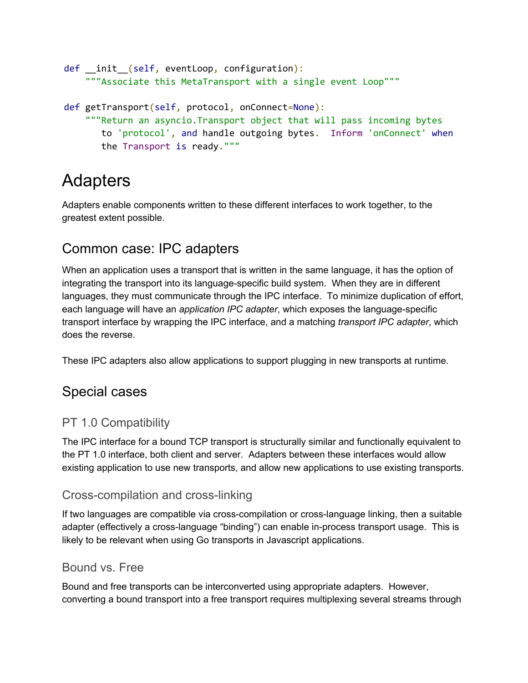```
def _init (self, eventLoop, configuration):
    """Associate this MetaTransport with a single event Loop"""
def getTransport(self, protocol, onConnect=None):
    """Return an asyncio. Transport object that will pass incoming bytes
       to 'protocol', and handle outgoing bytes. Inform 'onConnect' when
       the Transport is ready."""
```
## <span id="page-9-0"></span>Adapters

Adapters enable components written to these different interfaces to work together, to the greatest extent possible.

### <span id="page-9-1"></span>Common case: IPC adapters

When an application uses a transport that is written in the same language, it has the option of integrating the transport into its language-specific build system. When they are in different languages, they must communicate through the IPC interface. To minimize duplication of effort, each language will have an *application IPC adapter*, which exposes the language-specific transport interface by wrapping the IPC interface, and a matching *transport IPC adapter*, which does the reverse.

<span id="page-9-2"></span>These IPC adapters also allow applications to support plugging in new transports at runtime.

### Special cases

#### <span id="page-9-3"></span>PT 1.0 Compatibility

The IPC interface for a bound TCP transport is structurally similar and functionally equivalent to the PT 1.0 interface, both client and server. Adapters between these interfaces would allow existing application to use new transports, and allow new applications to use existing transports.

#### <span id="page-9-4"></span>Cross-compilation and cross-linking

If two languages are compatible via cross-compilation or cross-language linking, then a suitable adapter (effectively a cross-language "binding") can enable in-process transport usage. This is likely to be relevant when using Go transports in Javascript applications.

#### <span id="page-9-5"></span>Bound vs. Free

Bound and free transports can be interconverted using appropriate adapters. However, converting a bound transport into a free transport requires multiplexing several streams through